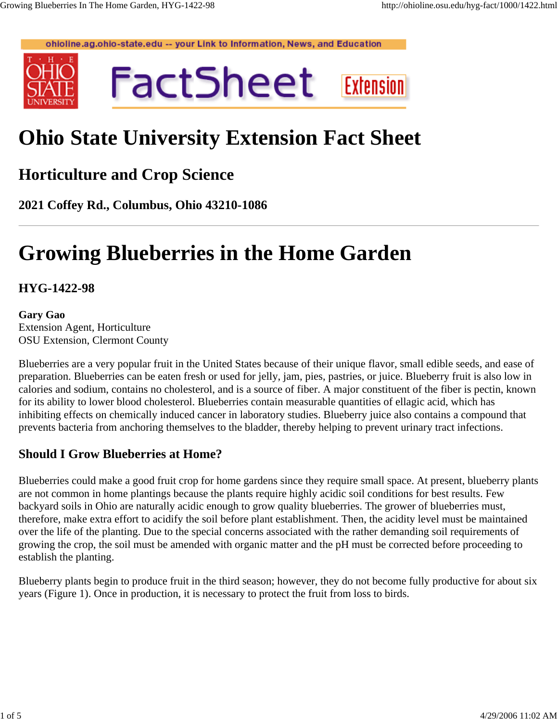ohioline.ag.ohio-state.edu -- your Link to Information, News, and Education





# **Ohio State University Extension Fact Sheet**

# **Horticulture and Crop Science**

**2021 Coffey Rd., Columbus, Ohio 43210-1086**

# **Growing Blueberries in the Home Garden**

## **HYG-1422-98**

#### **Gary Gao** Extension Agent, Horticulture OSU Extension, Clermont County

Blueberries are a very popular fruit in the United States because of their unique flavor, small edible seeds, and ease of preparation. Blueberries can be eaten fresh or used for jelly, jam, pies, pastries, or juice. Blueberry fruit is also low in calories and sodium, contains no cholesterol, and is a source of fiber. A major constituent of the fiber is pectin, known for its ability to lower blood cholesterol. Blueberries contain measurable quantities of ellagic acid, which has inhibiting effects on chemically induced cancer in laboratory studies. Blueberry juice also contains a compound that prevents bacteria from anchoring themselves to the bladder, thereby helping to prevent urinary tract infections.

# **Should I Grow Blueberries at Home?**

Blueberries could make a good fruit crop for home gardens since they require small space. At present, blueberry plants are not common in home plantings because the plants require highly acidic soil conditions for best results. Few backyard soils in Ohio are naturally acidic enough to grow quality blueberries. The grower of blueberries must, therefore, make extra effort to acidify the soil before plant establishment. Then, the acidity level must be maintained over the life of the planting. Due to the special concerns associated with the rather demanding soil requirements of growing the crop, the soil must be amended with organic matter and the pH must be corrected before proceeding to establish the planting.

Blueberry plants begin to produce fruit in the third season; however, they do not become fully productive for about six years (Figure 1). Once in production, it is necessary to protect the fruit from loss to birds.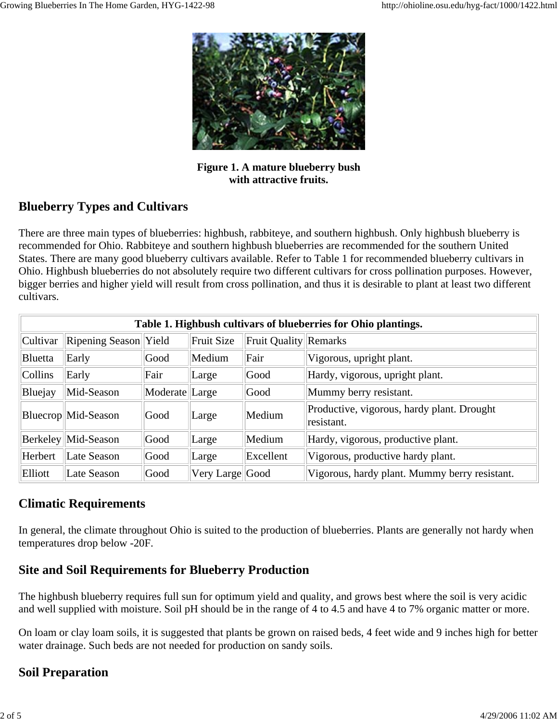

**Figure 1. A mature blueberry bush with attractive fruits.**

# **Blueberry Types and Cultivars**

There are three main types of blueberries: highbush, rabbiteye, and southern highbush. Only highbush blueberry is recommended for Ohio. Rabbiteye and southern highbush blueberries are recommended for the southern United States. There are many good blueberry cultivars available. Refer to Table 1 for recommended blueberry cultivars in Ohio. Highbush blueberries do not absolutely require two different cultivars for cross pollination purposes. However, bigger berries and higher yield will result from cross pollination, and thus it is desirable to plant at least two different cultivars.

| Table 1. Highbush cultivars of blueberries for Ohio plantings. |                       |                |                   |                              |                                                          |  |  |  |  |  |
|----------------------------------------------------------------|-----------------------|----------------|-------------------|------------------------------|----------------------------------------------------------|--|--|--|--|--|
| Cultivar                                                       | Ripening Season Yield |                | <b>Fruit Size</b> | <b>Fruit Quality Remarks</b> |                                                          |  |  |  |  |  |
| <b>Bluetta</b>                                                 | Early                 | Good           | Medium            | Fair                         | Vigorous, upright plant.                                 |  |  |  |  |  |
| Collins                                                        | Early                 | Fair           | Large             | Good                         | Hardy, vigorous, upright plant.                          |  |  |  |  |  |
| Bluejay                                                        | Mid-Season            | Moderate Large |                   | Good                         | Mummy berry resistant.                                   |  |  |  |  |  |
|                                                                | Bluecrop Mid-Season   | Good           | Large             | Medium                       | Productive, vigorous, hardy plant. Drought<br>resistant. |  |  |  |  |  |
|                                                                | Berkeley Mid-Season   | Good           | Large             | Medium                       | Hardy, vigorous, productive plant.                       |  |  |  |  |  |
| Herbert                                                        | Late Season           | Good           | Large             | Excellent                    | Vigorous, productive hardy plant.                        |  |  |  |  |  |
| Elliott                                                        | Late Season           | Good           | Very Large Good   |                              | Vigorous, hardy plant. Mummy berry resistant.            |  |  |  |  |  |

## **Climatic Requirements**

In general, the climate throughout Ohio is suited to the production of blueberries. Plants are generally not hardy when temperatures drop below -20F.

# **Site and Soil Requirements for Blueberry Production**

The highbush blueberry requires full sun for optimum yield and quality, and grows best where the soil is very acidic and well supplied with moisture. Soil pH should be in the range of 4 to 4.5 and have 4 to 7% organic matter or more.

On loam or clay loam soils, it is suggested that plants be grown on raised beds, 4 feet wide and 9 inches high for better water drainage. Such beds are not needed for production on sandy soils.

# **Soil Preparation**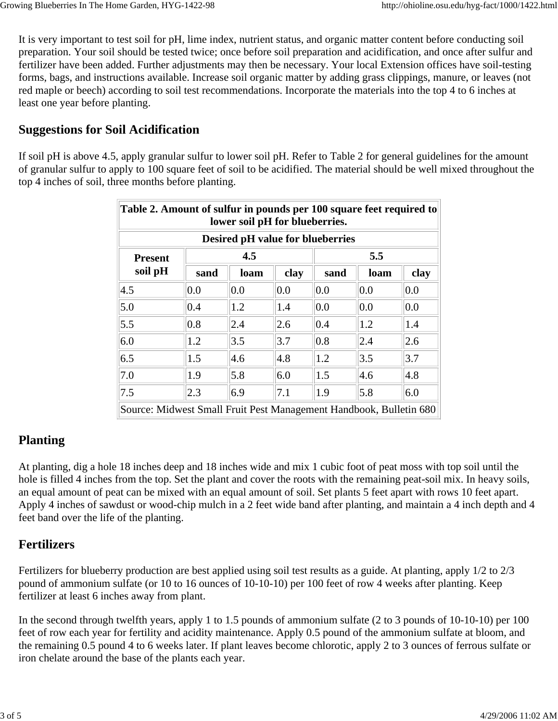It is very important to test soil for pH, lime index, nutrient status, and organic matter content before conducting soil preparation. Your soil should be tested twice; once before soil preparation and acidification, and once after sulfur and fertilizer have been added. Further adjustments may then be necessary. Your local Extension offices have soil-testing forms, bags, and instructions available. Increase soil organic matter by adding grass clippings, manure, or leaves (not red maple or beech) according to soil test recommendations. Incorporate the materials into the top 4 to 6 inches at least one year before planting.

### **Suggestions for Soil Acidification**

If soil pH is above 4.5, apply granular sulfur to lower soil pH. Refer to Table 2 for general guidelines for the amount of granular sulfur to apply to 100 square feet of soil to be acidified. The material should be well mixed throughout the top 4 inches of soil, three months before planting.

| Table 2. Amount of sulfur in pounds per 100 square feet required to<br>lower soil pH for blueberries.<br><b>Desired pH value for blueberries</b> |      |      |      |      |      |      |  |  |  |  |
|--------------------------------------------------------------------------------------------------------------------------------------------------|------|------|------|------|------|------|--|--|--|--|
|                                                                                                                                                  |      |      |      |      |      |      |  |  |  |  |
| soil pH                                                                                                                                          | sand | loam | clay | sand | loam | clay |  |  |  |  |
| 4.5                                                                                                                                              | 0.0  | 0.0  | 0.0  | 0.0  | 0.0  | 0.0  |  |  |  |  |
| 5.0                                                                                                                                              | 0.4  | 1.2  | 1.4  | 0.0  | 0.0  | 0.0  |  |  |  |  |
| 5.5                                                                                                                                              | 0.8  | 2.4  | 2.6  | 0.4  | 1.2  | 1.4  |  |  |  |  |
| 6.0                                                                                                                                              | 1.2  | 3.5  | 3.7  | 0.8  | 2.4  | 2.6  |  |  |  |  |
| 6.5                                                                                                                                              | 1.5  | 4.6  | 4.8  | 1.2  | 3.5  | 3.7  |  |  |  |  |
| 7.0                                                                                                                                              | 1.9  | 5.8  | 6.0  | 1.5  | 4.6  | 4.8  |  |  |  |  |
| 7.5                                                                                                                                              | 2.3  | 6.9  | 7.1  | 1.9  | 5.8  | 6.0  |  |  |  |  |
| Source: Midwest Small Fruit Pest Management Handbook, Bulletin 680                                                                               |      |      |      |      |      |      |  |  |  |  |

## **Planting**

At planting, dig a hole 18 inches deep and 18 inches wide and mix 1 cubic foot of peat moss with top soil until the hole is filled 4 inches from the top. Set the plant and cover the roots with the remaining peat-soil mix. In heavy soils, an equal amount of peat can be mixed with an equal amount of soil. Set plants 5 feet apart with rows 10 feet apart. Apply 4 inches of sawdust or wood-chip mulch in a 2 feet wide band after planting, and maintain a 4 inch depth and 4 feet band over the life of the planting.

## **Fertilizers**

Fertilizers for blueberry production are best applied using soil test results as a guide. At planting, apply 1/2 to 2/3 pound of ammonium sulfate (or 10 to 16 ounces of 10-10-10) per 100 feet of row 4 weeks after planting. Keep fertilizer at least 6 inches away from plant.

In the second through twelfth years, apply 1 to 1.5 pounds of ammonium sulfate (2 to 3 pounds of 10-10-10) per 100 feet of row each year for fertility and acidity maintenance. Apply 0.5 pound of the ammonium sulfate at bloom, and the remaining 0.5 pound 4 to 6 weeks later. If plant leaves become chlorotic, apply 2 to 3 ounces of ferrous sulfate or iron chelate around the base of the plants each year.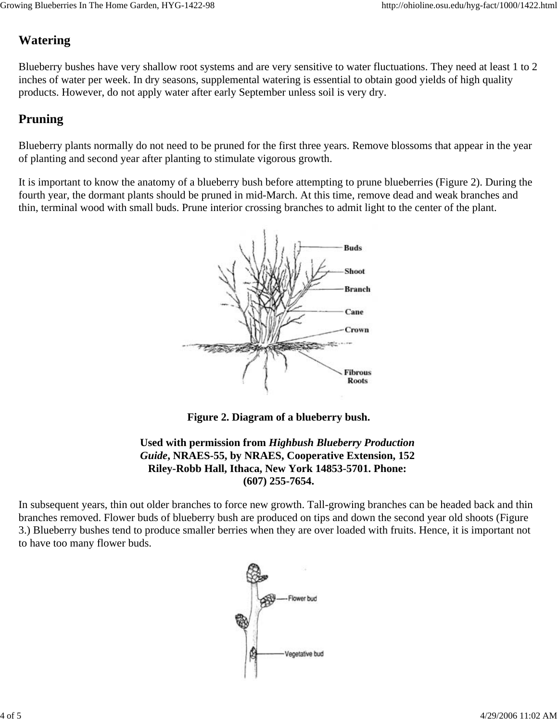# **Watering**

Blueberry bushes have very shallow root systems and are very sensitive to water fluctuations. They need at least 1 to 2 inches of water per week. In dry seasons, supplemental watering is essential to obtain good yields of high quality products. However, do not apply water after early September unless soil is very dry.

## **Pruning**

Blueberry plants normally do not need to be pruned for the first three years. Remove blossoms that appear in the year of planting and second year after planting to stimulate vigorous growth.

It is important to know the anatomy of a blueberry bush before attempting to prune blueberries (Figure 2). During the fourth year, the dormant plants should be pruned in mid-March. At this time, remove dead and weak branches and thin, terminal wood with small buds. Prune interior crossing branches to admit light to the center of the plant.



**Figure 2. Diagram of a blueberry bush.**

**Used with permission from** *Highbush Blueberry Production Guide***, NRAES-55, by NRAES, Cooperative Extension, 152 Riley-Robb Hall, Ithaca, New York 14853-5701. Phone: (607) 255-7654.**

In subsequent years, thin out older branches to force new growth. Tall-growing branches can be headed back and thin branches removed. Flower buds of blueberry bush are produced on tips and down the second year old shoots (Figure 3.) Blueberry bushes tend to produce smaller berries when they are over loaded with fruits. Hence, it is important not to have too many flower buds.